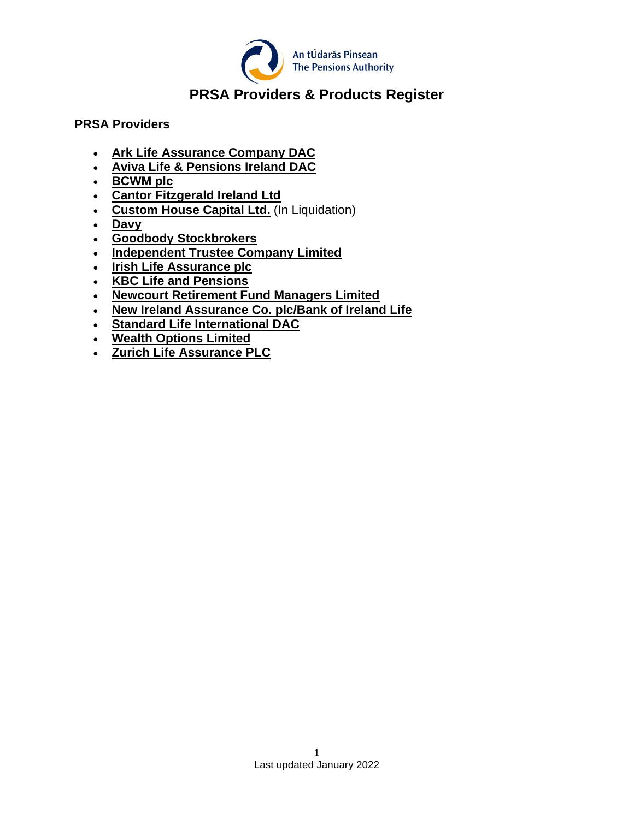

# **PRSA Providers & Products Register**

#### **PRSA Providers**

- **[Ark Life Assurance Company DAC](#page-1-0)**
- **[Aviva Life & Pensions Ireland DAC](#page-1-1)**
- **[BCWM plc](#page-2-0)**
- **[Cantor Fitzgerald Ireland Ltd](#page-3-0)**
- **[Custom House Capital Ltd.](#page-3-1)** (In Liquidation)
- **[Davy](#page-4-0)**
- **[Goodbody Stockbrokers](#page-4-1)**
- **[Independent Trustee Company Limited](#page-4-2)**
- **[Irish Life Assurance plc](#page-5-0)**
- **[KBC Life and Pensions](#page-7-0)**
- **Newcourt [Retirement Fund Managers Limited](#page-7-1)**
- **[New Ireland Assurance Co. plc/Bank of Ireland Life](#page-8-0)**
- **[Standard Life International DAC](#page-9-0)**
- **[Wealth Options](#page-9-1) Limited**
- **[Zurich Life Assurance PLC](#page-10-0)**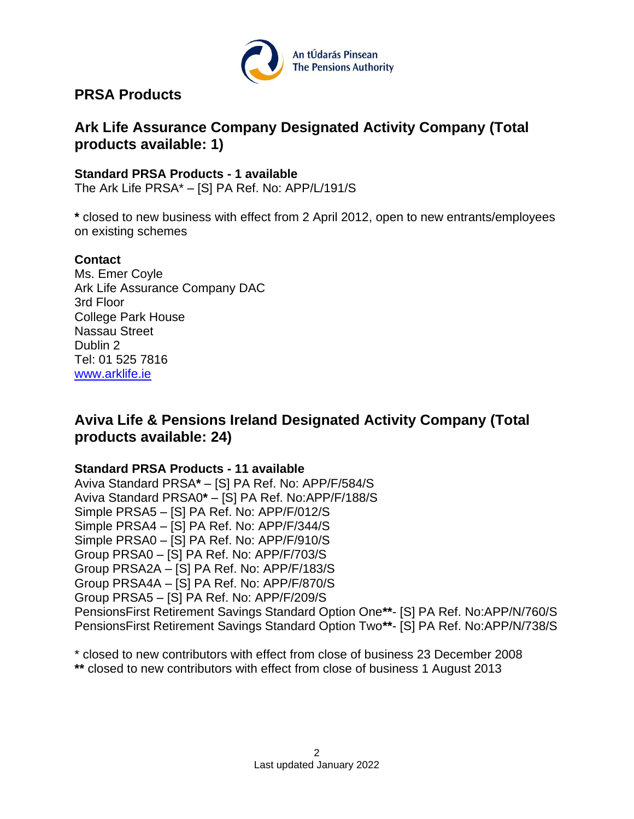

## **PRSA Products**

# <span id="page-1-0"></span>**Ark Life Assurance Company Designated Activity Company (Total products available: 1)**

### **Standard PRSA Products - 1 available**

The Ark Life PRSA\* – [S] PA Ref. No: APP/L/191/S

**\*** closed to new business with effect from 2 April 2012, open to new entrants/employees on existing schemes

### **Contact**

Ms. Emer Coyle Ark Life Assurance Company DAC 3rd Floor College Park House Nassau Street Dublin 2 Tel: 01 525 7816 [www.arklife.ie](http://www.arklife.ie/)

# <span id="page-1-1"></span>**Aviva Life & Pensions Ireland Designated Activity Company (Total products available: 24)**

#### **Standard PRSA Products - 11 available**

Aviva Standard PRSA**\*** – [S] PA Ref. No: APP/F/584/S Aviva Standard PRSA0**\*** – [S] PA Ref. No:APP/F/188/S Simple PRSA5 – [S] PA Ref. No: APP/F/012/S Simple PRSA4 – [S] PA Ref. No: APP/F/344/S Simple PRSA0 – [S] PA Ref. No: APP/F/910/S Group PRSA0 – [S] PA Ref. No: APP/F/703/S Group PRSA2A – [S] PA Ref. No: APP/F/183/S Group PRSA4A – [S] PA Ref. No: APP/F/870/S Group PRSA5 – [S] PA Ref. No: APP/F/209/S PensionsFirst Retirement Savings Standard Option One**\*\***- [S] PA Ref. No:APP/N/760/S PensionsFirst Retirement Savings Standard Option Two**\*\***- [S] PA Ref. No:APP/N/738/S

\* closed to new contributors with effect from close of business 23 December 2008

**\*\*** closed to new contributors with effect from close of business 1 August 2013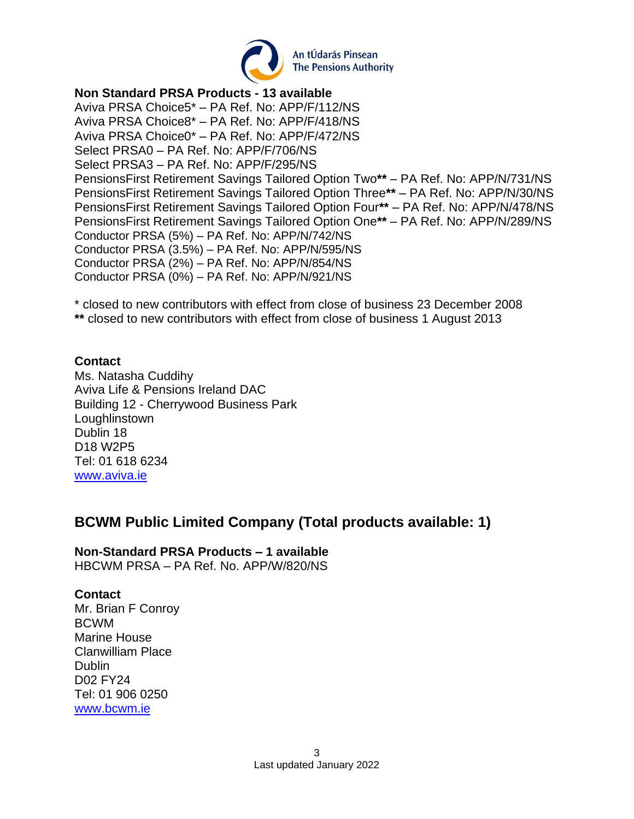

#### **Non Standard PRSA Products - 13 available**

Aviva PRSA Choice5\* – PA Ref. No: APP/F/112/NS Aviva PRSA Choice8\* – PA Ref. No: APP/F/418/NS Aviva PRSA Choice0\* – PA Ref. No: APP/F/472/NS Select PRSA0 – PA Ref. No: APP/F/706/NS Select PRSA3 – PA Ref. No: APP/F/295/NS PensionsFirst Retirement Savings Tailored Option Two**\*\*** – PA Ref. No: APP/N/731/NS PensionsFirst Retirement Savings Tailored Option Three**\*\*** – PA Ref. No: APP/N/30/NS PensionsFirst Retirement Savings Tailored Option Four**\*\*** – PA Ref. No: APP/N/478/NS PensionsFirst Retirement Savings Tailored Option One**\*\*** – PA Ref. No: APP/N/289/NS Conductor PRSA (5%) – PA Ref. No: APP/N/742/NS Conductor PRSA (3.5%) – PA Ref. No: APP/N/595/NS Conductor PRSA (2%) – PA Ref. No: APP/N/854/NS Conductor PRSA (0%) – PA Ref. No: APP/N/921/NS

\* closed to new contributors with effect from close of business 23 December 2008 **\*\*** closed to new contributors with effect from close of business 1 August 2013

#### **Contact**

Ms. Natasha Cuddihy Aviva Life & Pensions Ireland DAC Building 12 - Cherrywood Business Park Loughlinstown Dublin 18 D18 W2P5 Tel: 01 618 6234 [www.aviva.ie](http://www.aviva.ie/)

### <span id="page-2-0"></span>**BCWM Public Limited Company (Total products available: 1)**

# **Non-Standard PRSA Products – 1 available**

HBCWM PRSA – PA Ref. No. APP/W/820/NS

#### **Contact**

Mr. Brian F Conroy BCWM Marine House Clanwilliam Place **Dublin** D02 FY24 Tel: 01 906 0250 [www.bcwm.ie](http://www.bcwm.ie/)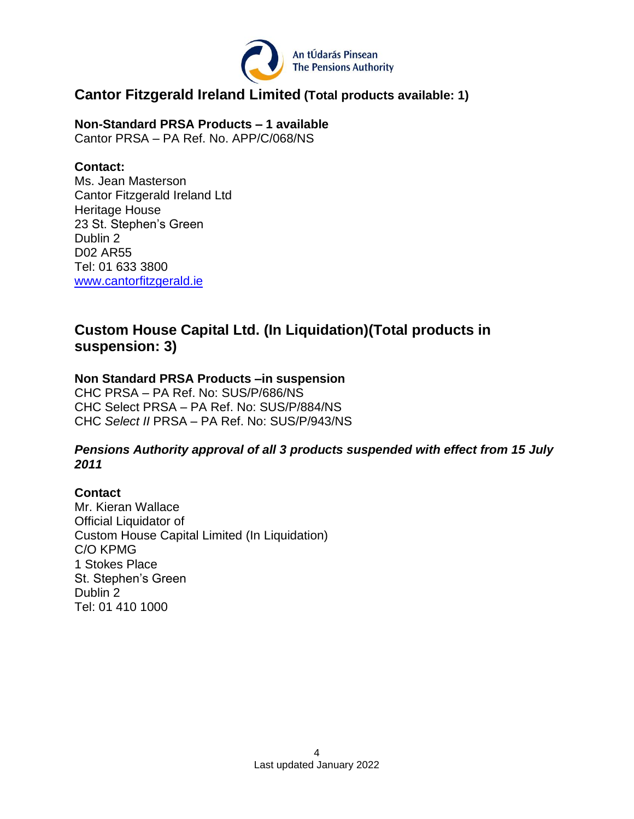

### <span id="page-3-0"></span>**Cantor Fitzgerald Ireland Limited (Total products available: 1)**

**Non-Standard PRSA Products – 1 available** Cantor PRSA – PA Ref. No. APP/C/068/NS

#### **Contact:**

Ms. Jean Masterson Cantor Fitzgerald Ireland Ltd Heritage House 23 St. Stephen's Green Dublin 2 D02 AR55 Tel: 01 633 3800 [www.cantorfitzgerald.ie](http://www.cantorfitzgerald.ie/)

### <span id="page-3-1"></span>**Custom House Capital Ltd. (In Liquidation)(Total products in suspension: 3)**

### **Non Standard PRSA Products –in suspension**

CHC PRSA – PA Ref. No: SUS/P/686/NS CHC Select PRSA – PA Ref. No: SUS/P/884/NS CHC *Select II* PRSA – PA Ref. No: SUS/P/943/NS

#### *Pensions Authority approval of all 3 products suspended with effect from 15 July 2011*

### **Contact**

Mr. Kieran Wallace Official Liquidator of Custom House Capital Limited (In Liquidation) C/O KPMG 1 Stokes Place St. Stephen's Green Dublin 2 Tel: 01 410 1000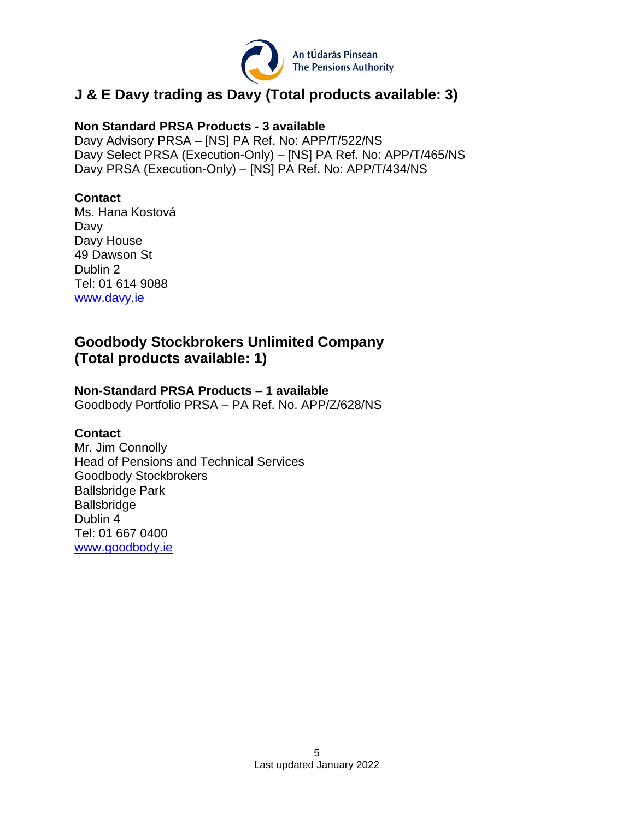

# <span id="page-4-0"></span>**J & E Davy trading as Davy (Total products available: 3)**

#### **Non Standard PRSA Products - 3 available**

Davy Advisory PRSA – [NS] PA Ref. No: APP/T/522/NS Davy Select PRSA (Execution-Only) – [NS] PA Ref. No: APP/T/465/NS Davy PRSA (Execution-Only) – [NS] PA Ref. No: APP/T/434/NS

### **Contact**

Ms. Hana Kostová Davy Davy House 49 Dawson St Dublin 2 Tel: 01 614 9088 [www.davy.ie](http://www.davy.ie/)

# <span id="page-4-1"></span>**Goodbody Stockbrokers Unlimited Company (Total products available: 1)**

### **Non-Standard PRSA Products – 1 available**

Goodbody Portfolio PRSA – PA Ref. No. APP/Z/628/NS

#### **Contact**

<span id="page-4-2"></span>Mr. Jim Connolly Head of Pensions and Technical Services Goodbody Stockbrokers Ballsbridge Park Ballsbridge Dublin 4 Tel: 01 667 0400 [www.goodbody.ie](http://www.goodbody.ie/)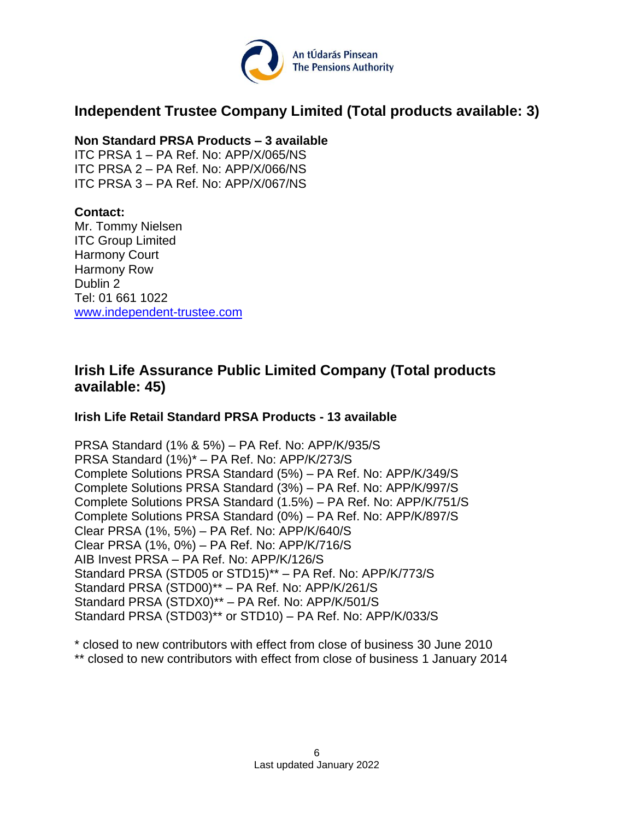

### **Independent Trustee Company Limited (Total products available: 3)**

#### **Non Standard PRSA Products – 3 available**

ITC PRSA 1 – PA Ref. No: APP/X/065/NS ITC PRSA 2 – PA Ref. No: APP/X/066/NS ITC PRSA 3 – PA Ref. No: APP/X/067/NS

### **Contact:**

Mr. Tommy Nielsen ITC Group Limited Harmony Court Harmony Row Dublin 2 Tel: 01 661 1022 [www.independent-trustee.com](http://www.independent-trustee.com/)

### <span id="page-5-0"></span>**Irish Life Assurance Public Limited Company (Total products available: 45)**

#### **Irish Life Retail Standard PRSA Products - 13 available**

PRSA Standard (1% & 5%) – PA Ref. No: APP/K/935/S PRSA Standard (1%)\* – PA Ref. No: APP/K/273/S Complete Solutions PRSA Standard (5%) – PA Ref. No: APP/K/349/S Complete Solutions PRSA Standard (3%) – PA Ref. No: APP/K/997/S Complete Solutions PRSA Standard (1.5%) – PA Ref. No: APP/K/751/S Complete Solutions PRSA Standard (0%) – PA Ref. No: APP/K/897/S Clear PRSA (1%, 5%) – PA Ref. No: APP/K/640/S Clear PRSA (1%, 0%) – PA Ref. No: APP/K/716/S AIB Invest PRSA – PA Ref. No: APP/K/126/S Standard PRSA (STD05 or STD15)\*\* – PA Ref. No: APP/K/773/S Standard PRSA (STD00)\*\* – PA Ref. No: APP/K/261/S Standard PRSA (STDX0)\*\* – PA Ref. No: APP/K/501/S Standard PRSA (STD03)\*\* or STD10) – PA Ref. No: APP/K/033/S

\* closed to new contributors with effect from close of business 30 June 2010 \*\* closed to new contributors with effect from close of business 1 January 2014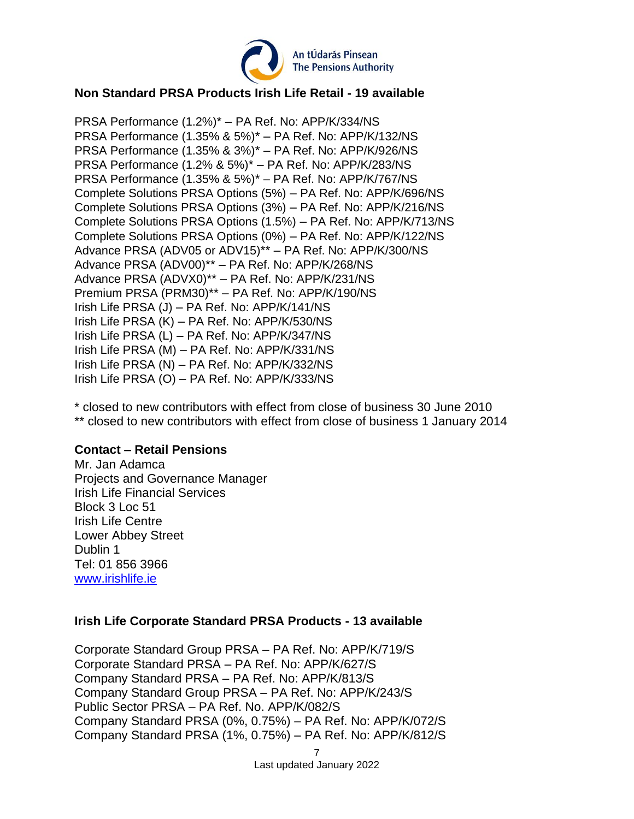

### **Non Standard PRSA Products Irish Life Retail - 19 available**

PRSA Performance (1.2%)\* – PA Ref. No: APP/K/334/NS PRSA Performance (1.35% & 5%)\* – PA Ref. No: APP/K/132/NS PRSA Performance (1.35% & 3%)\* – PA Ref. No: APP/K/926/NS PRSA Performance (1.2% & 5%)\* – PA Ref. No: APP/K/283/NS PRSA Performance (1.35% & 5%)\* – PA Ref. No: APP/K/767/NS Complete Solutions PRSA Options (5%) – PA Ref. No: APP/K/696/NS Complete Solutions PRSA Options (3%) – PA Ref. No: APP/K/216/NS Complete Solutions PRSA Options (1.5%) – PA Ref. No: APP/K/713/NS Complete Solutions PRSA Options (0%) – PA Ref. No: APP/K/122/NS Advance PRSA (ADV05 or ADV15)\*\* – PA Ref. No: APP/K/300/NS Advance PRSA (ADV00)\*\* – PA Ref. No: APP/K/268/NS Advance PRSA (ADVX0)\*\* – PA Ref. No: APP/K/231/NS Premium PRSA (PRM30)\*\* – PA Ref. No: APP/K/190/NS Irish Life PRSA (J) – PA Ref. No: APP/K/141/NS Irish Life PRSA (K) – PA Ref. No: APP/K/530/NS Irish Life PRSA (L) – PA Ref. No: APP/K/347/NS Irish Life PRSA (M) – PA Ref. No: APP/K/331/NS Irish Life PRSA (N) – PA Ref. No: APP/K/332/NS Irish Life PRSA (O) – PA Ref. No: APP/K/333/NS

\* closed to new contributors with effect from close of business 30 June 2010 \*\* closed to new contributors with effect from close of business 1 January 2014

#### **Contact – Retail Pensions**

Mr. Jan Adamca Projects and Governance Manager Irish Life Financial Services Block 3 Loc 51 Irish Life Centre Lower Abbey Street Dublin 1 Tel: 01 856 3966 [www.irishlife.ie](http://www.irishlife.ie/)

#### **Irish Life Corporate Standard PRSA Products - 13 available**

Corporate Standard Group PRSA – PA Ref. No: APP/K/719/S Corporate Standard PRSA – PA Ref. No: APP/K/627/S Company Standard PRSA – PA Ref. No: APP/K/813/S Company Standard Group PRSA – PA Ref. No: APP/K/243/S Public Sector PRSA – PA Ref. No. APP/K/082/S Company Standard PRSA (0%, 0.75%) – PA Ref. No: APP/K/072/S Company Standard PRSA (1%, 0.75%) – PA Ref. No: APP/K/812/S

Last updated January 2022

<sup>7</sup>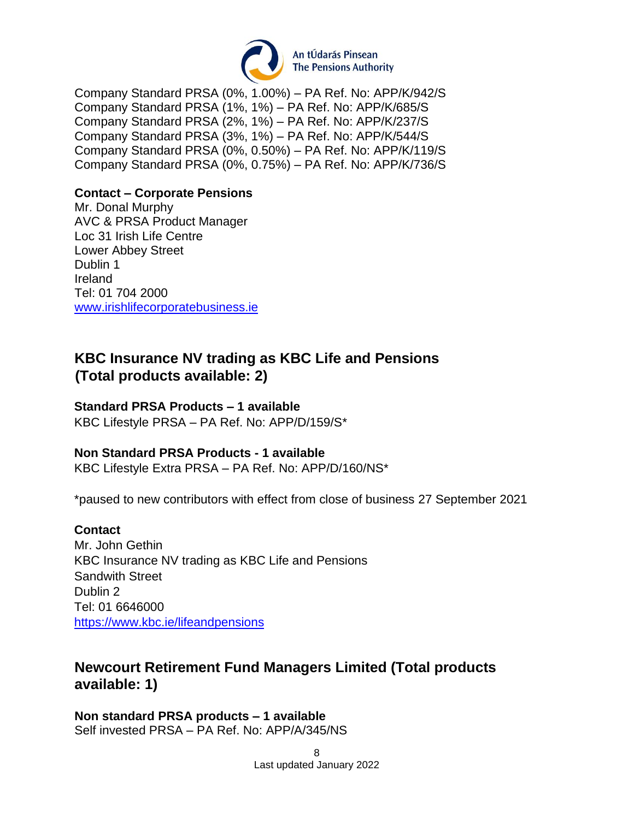

Company Standard PRSA (0%, 1.00%) – PA Ref. No: APP/K/942/S Company Standard PRSA (1%, 1%) – PA Ref. No: APP/K/685/S Company Standard PRSA (2%, 1%) – PA Ref. No: APP/K/237/S Company Standard PRSA (3%, 1%) – PA Ref. No: APP/K/544/S Company Standard PRSA (0%, 0.50%) – PA Ref. No: APP/K/119/S Company Standard PRSA (0%, 0.75%) – PA Ref. No: APP/K/736/S

### **Contact – Corporate Pensions**

Mr. Donal Murphy AVC & PRSA Product Manager Loc 31 Irish Life Centre Lower Abbey Street Dublin 1 Ireland Tel: 01 704 2000 [www.irishlifecorporatebusiness.ie](https://urldefense.proofpoint.com/v2/url?u=http-3A__www.irishlifecorporatebusiness.ie_&d=DwMFAg&c=UE1eNsedaKncO0Yl_u8bfw&r=ozmUpnAjWK97qXk60h1QEzSJXRn-sUiP7BoaSgh7uhw&m=A3_7Il2QGVdjUXmPRuCDz2NFwRK7XyUtlNua2ut43s8&s=5R7LtnLgNTc6ii5UBzDn0EfBrhKP4w4G4kqvKgUAglM&e=)

### <span id="page-7-0"></span>**KBC Insurance NV trading as KBC Life and Pensions (Total products available: 2)**

#### **Standard PRSA Products – 1 available**

KBC Lifestyle PRSA – PA Ref. No: APP/D/159/S\*

#### **Non Standard PRSA Products - 1 available**

KBC Lifestyle Extra PRSA – PA Ref. No: APP/D/160/NS\*

\*paused to new contributors with effect from close of business 27 September 2021

#### **Contact**

Mr. John Gethin KBC Insurance NV trading as KBC Life and Pensions Sandwith Street Dublin 2 Tel: 01 6646000 <https://www.kbc.ie/lifeandpensions>

### <span id="page-7-1"></span>**Newcourt Retirement Fund Managers Limited (Total products available: 1)**

**Non standard PRSA products – 1 available** Self invested PRSA – PA Ref. No: APP/A/345/NS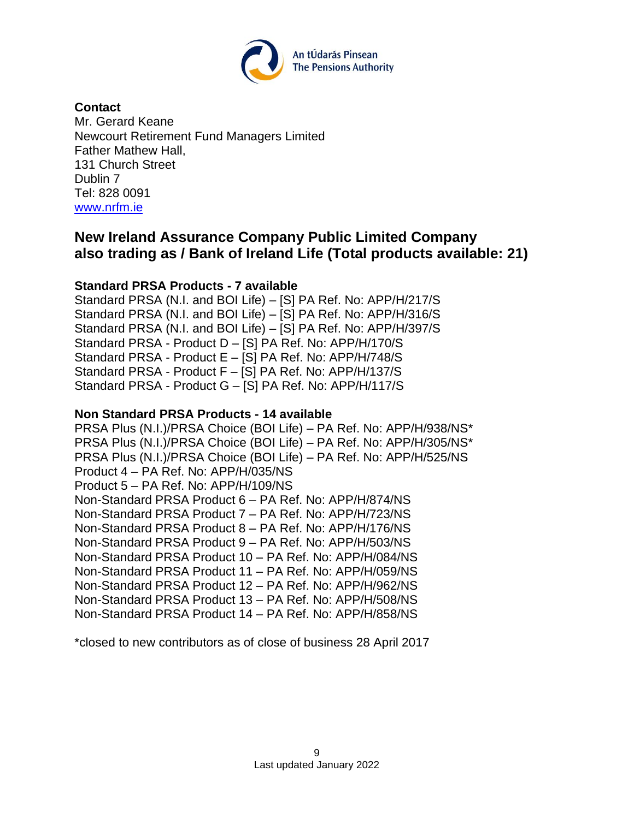

#### **Contact**

Mr. Gerard Keane Newcourt Retirement Fund Managers Limited Father Mathew Hall, 131 Church Street Dublin 7 Tel: 828 0091 [www.nrfm.ie](http://www.nrfm.ie/)

# <span id="page-8-0"></span>**New Ireland Assurance Company Public Limited Company also trading as / Bank of Ireland Life (Total products available: 21)**

### **Standard PRSA Products - 7 available**

Standard PRSA (N.I. and BOI Life) – [S] PA Ref. No: APP/H/217/S Standard PRSA (N.I. and BOI Life) – [S] PA Ref. No: APP/H/316/S Standard PRSA (N.I. and BOI Life) – [S] PA Ref. No: APP/H/397/S Standard PRSA - Product D – [S] PA Ref. No: APP/H/170/S Standard PRSA - Product E – [S] PA Ref. No: APP/H/748/S Standard PRSA - Product F – [S] PA Ref. No: APP/H/137/S Standard PRSA - Product G – [S] PA Ref. No: APP/H/117/S

#### **Non Standard PRSA Products - 14 available**

PRSA Plus (N.I.)/PRSA Choice (BOI Life) – PA Ref. No: APP/H/938/NS\* PRSA Plus (N.I.)/PRSA Choice (BOI Life) – PA Ref. No: APP/H/305/NS\* PRSA Plus (N.I.)/PRSA Choice (BOI Life) – PA Ref. No: APP/H/525/NS Product 4 – PA Ref. No: APP/H/035/NS Product 5 – PA Ref. No: APP/H/109/NS Non-Standard PRSA Product 6 – PA Ref. No: APP/H/874/NS Non-Standard PRSA Product 7 – PA Ref. No: APP/H/723/NS Non-Standard PRSA Product 8 – PA Ref. No: APP/H/176/NS Non-Standard PRSA Product 9 – PA Ref. No: APP/H/503/NS Non-Standard PRSA Product 10 – PA Ref. No: APP/H/084/NS Non-Standard PRSA Product 11 – PA Ref. No: APP/H/059/NS Non-Standard PRSA Product 12 – PA Ref. No: APP/H/962/NS Non-Standard PRSA Product 13 – PA Ref. No: APP/H/508/NS Non-Standard PRSA Product 14 – PA Ref. No: APP/H/858/NS

\*closed to new contributors as of close of business 28 April 2017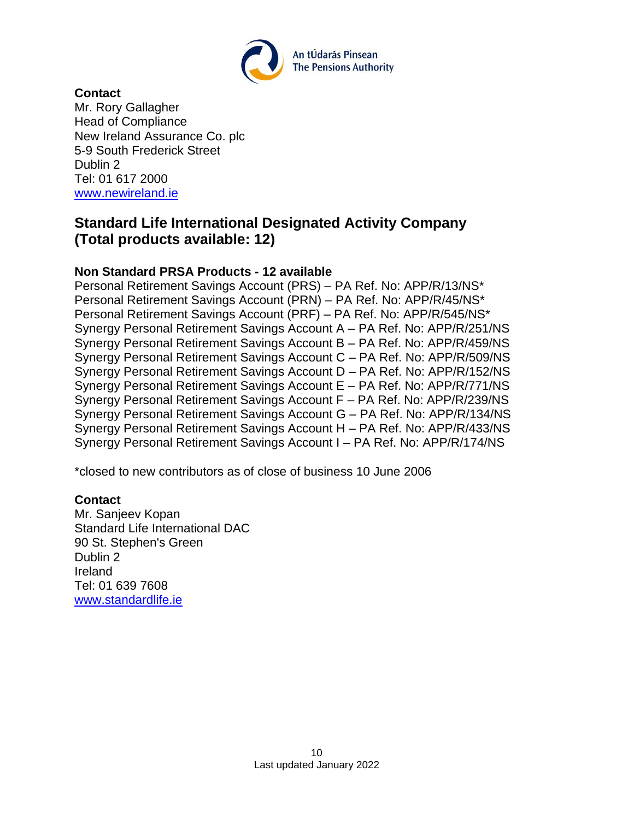

### **Contact**

Mr. Rory Gallagher Head of Compliance New Ireland Assurance Co. plc 5-9 South Frederick Street Dublin 2 Tel: 01 617 2000 [www.newireland.ie](http://www.newireland.ie/)

### <span id="page-9-0"></span>**Standard Life International Designated Activity Company (Total products available: 12)**

### **Non Standard PRSA Products - 12 available**

Personal Retirement Savings Account (PRS) – PA Ref. No: APP/R/13/NS\* Personal Retirement Savings Account (PRN) – PA Ref. No: APP/R/45/NS\* Personal Retirement Savings Account (PRF) – PA Ref. No: APP/R/545/NS\* Synergy Personal Retirement Savings Account A – PA Ref. No: APP/R/251/NS Synergy Personal Retirement Savings Account B – PA Ref. No: APP/R/459/NS Synergy Personal Retirement Savings Account C – PA Ref. No: APP/R/509/NS Synergy Personal Retirement Savings Account D – PA Ref. No: APP/R/152/NS Synergy Personal Retirement Savings Account E – PA Ref. No: APP/R/771/NS Synergy Personal Retirement Savings Account F – PA Ref. No: APP/R/239/NS Synergy Personal Retirement Savings Account G – PA Ref. No: APP/R/134/NS Synergy Personal Retirement Savings Account H – PA Ref. No: APP/R/433/NS Synergy Personal Retirement Savings Account I – PA Ref. No: APP/R/174/NS

\*closed to new contributors as of close of business 10 June 2006

#### **Contact**

<span id="page-9-1"></span>Mr. Sanjeev Kopan Standard Life International DAC 90 St. Stephen's Green Dublin 2 Ireland Tel: 01 639 7608 [www.standardlife.ie](http://www.standardlife.ie/)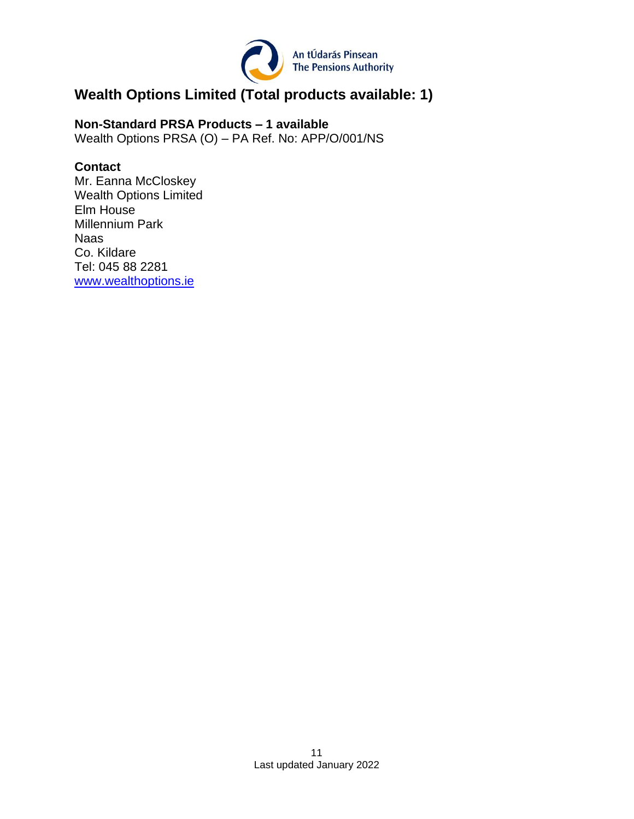

# **Wealth Options Limited (Total products available: 1)**

**Non-Standard PRSA Products – 1 available** Wealth Options PRSA (O) – PA Ref. No: APP/O/001/NS

### **Contact**

<span id="page-10-0"></span>Mr. Eanna McCloskey Wealth Options Limited Elm House Millennium Park Naas Co. Kildare Tel: 045 88 2281 [www.wealthoptions.ie](http://www.wealthoptions.ie/)